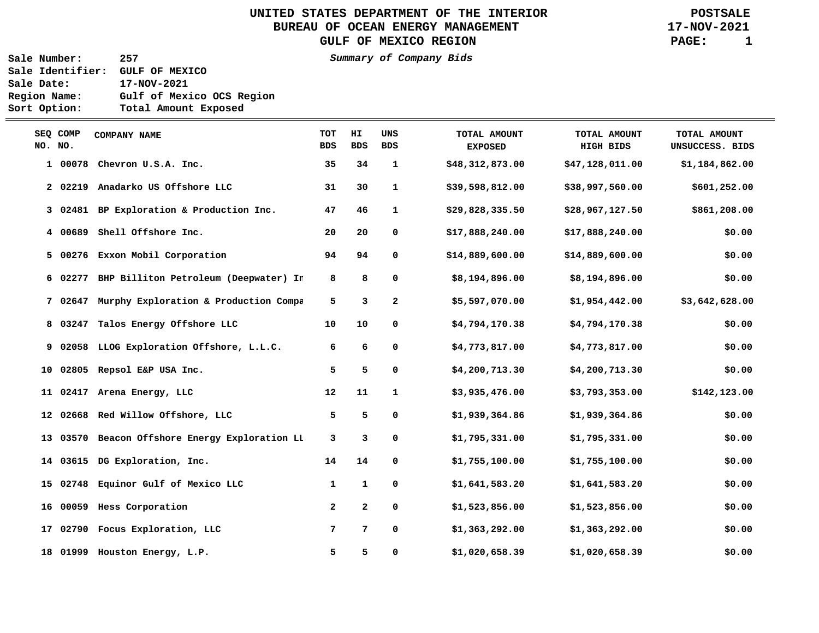UNITED STATES DEPARTMENT OF THE INTERIOR **POSTSALE**<br>BUREAU OF OCEAN ENERGY MANAGEMENT **POSTSALE** BUREAU OF OCEAN ENERGY MANAGEMENT GULF OF MEXICO REGION **PAGE:** 1

**Sale Number: 257 Summary of Company Bids Sale Identifier: GULF OF MEXICO Sale Date: 17-NOV-2021 Region Name: Gulf of Mexico OCS Region Sort Option: Total Amount Exposed** 

| NO. NO. | SEQ COMP | <b>COMPANY NAME</b>                            | <b>TOT</b><br><b>BDS</b> | HI<br><b>BDS</b> | UNS<br><b>BDS</b> | TOTAL AMOUNT<br><b>EXPOSED</b> | TOTAL AMOUNT<br><b>HIGH BIDS</b> | TOTAL AMOUNT<br>UNSUCCESS. BIDS |
|---------|----------|------------------------------------------------|--------------------------|------------------|-------------------|--------------------------------|----------------------------------|---------------------------------|
|         | 1 00078  | Chevron U.S.A. Inc.                            | 35                       | 34               | $\mathbf{1}$      | \$48,312,873.00                | \$47,128,011.00                  | \$1,184,862.00                  |
|         |          | 2 02219 Anadarko US Offshore LLC               | 31                       | 30               | $\mathbf{1}$      | \$39,598,812.00                | \$38,997,560.00                  | \$601,252.00                    |
|         |          | 3 02481 BP Exploration & Production Inc.       | 47                       | 46               | 1                 | \$29,828,335.50                | \$28,967,127.50                  | \$861,208.00                    |
|         | 4 00689  | Shell Offshore Inc.                            | 20                       | 20               | 0                 | \$17,888,240.00                | \$17,888,240.00                  | \$0.00                          |
|         | 5 00276  | Exxon Mobil Corporation                        | 94                       | 94               | 0                 | \$14,889,600.00                | \$14,889,600.00                  | \$0.00                          |
|         | 6 02277  | BHP Billiton Petroleum (Deepwater) In          | 8                        | 8                | 0                 | \$8,194,896.00                 | \$8,194,896.00                   | \$0.00                          |
|         | 7 02647  | Murphy Exploration & Production Compa          | 5                        | 3                | $\mathbf{2}$      | \$5,597,070.00                 | \$1,954,442.00                   | \$3,642,628.00                  |
|         | 8 03247  | Talos Energy Offshore LLC                      | 10                       | 10               | 0                 | \$4,794,170.38                 | \$4,794,170.38                   | \$0.00                          |
|         |          | 9 02058 LLOG Exploration Offshore, L.L.C.      | 6                        | 6                | 0                 | \$4,773,817.00                 | \$4,773,817.00                   | \$0.00                          |
|         |          | 10 02805 Repsol E&P USA Inc.                   | 5                        | 5                | 0                 | \$4,200,713.30                 | \$4,200,713.30                   | \$0.00                          |
|         |          | 11 02417 Arena Energy, LLC                     | 12                       | 11               | $\mathbf{1}$      | \$3,935,476.00                 | \$3,793,353.00                   | \$142,123.00                    |
|         |          | 12 02668 Red Willow Offshore, LLC              | 5                        | 5                | 0                 | \$1,939,364.86                 | \$1,939,364.86                   | \$0.00                          |
|         |          | 13 03570 Beacon Offshore Energy Exploration LL | 3                        | 3                | 0                 | \$1,795,331.00                 | \$1,795,331.00                   | \$0.00                          |
|         |          | 14 03615 DG Exploration, Inc.                  | 14                       | 14               | 0                 | \$1,755,100.00                 | \$1,755,100.00                   | \$0.00                          |
|         |          | 15 02748 Equinor Gulf of Mexico LLC            | 1                        | $\mathbf{1}$     | 0                 | \$1,641,583.20                 | \$1,641,583.20                   | \$0.00                          |
|         |          | 16 00059 Hess Corporation                      | $\overline{a}$           | $\mathbf{2}$     | 0                 | \$1,523,856.00                 | \$1,523,856.00                   | \$0.00                          |
|         |          | 17 02790 Focus Exploration, LLC                | 7                        | 7                | 0                 | \$1,363,292.00                 | \$1,363,292.00                   | \$0.00                          |
|         |          | 18 01999 Houston Energy, L.P.                  | 5                        | 5                | 0                 | \$1,020,658.39                 | \$1,020,658.39                   | \$0.00                          |